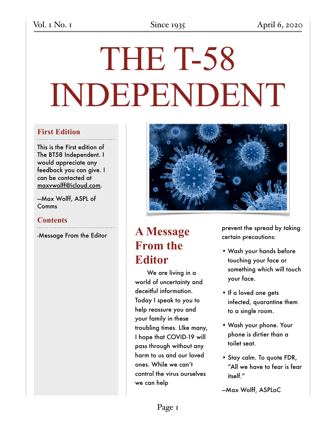# THE T-58 INDEPENDENT

### **First Edition**

This is the First edition of The BT58 Independent. I would appreciate any feedback you can give. I can be contacted at [maxvwolff@icloud.com](mailto:maxvwolff@icloud.com).

—Max Wolff, ASPL of Comms

### **Contents**

-Message From the Editor



# **A Message From the Editor**

We are living in a world of uncertainty and deceitful information. Today I speak to you to help reassure you and your family in these troubling times. LIke many, I hope that COVID-19 will pass through without any harm to us and our loved ones. While we can't control the virus ourselves we can help

prevent the spread by taking certain precautions:

- Wash your hands before touching your face or something which will touch your face.
- If a loved one gets infected, quarantine them to a single room.
- Wash your phone. Your phone is dirtier than a toilet seat.
- Stay calm. To quote FDR, "All we have to fear is fear itself."
- —Max Wolff, ASPLoC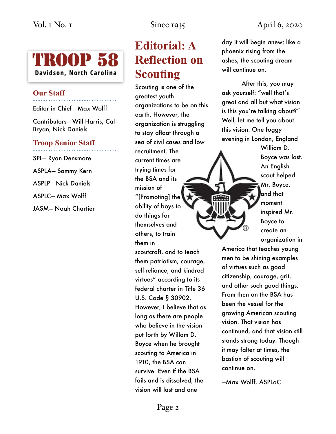# **Editorial: A Reflection on Scouting**

Scouting is one of the greatest youth organizations to be on this earth. However, the organization is struggling to stay afloat through a sea of civil cases and low recruitment. The current times are trying times for the BSA and its mission of "[Promoting] the ability of boys to do things for themselves and others, to train them in scoutcraft, and to teach them patriotism, courage, self-reliance, and kindred virtues" according to its federal charter in Title 36 U.S. Code § 30902. However, I believe that as long as there are people who believe in the vision put forth by Willam D. Boyce when he brought scouting to America in 1910, the BSA can survive. Even if the BSA fails and is dissolved, the vision will last and one

Vol. 1 No. 1 Since 1935 April 6, 2020

day it will begin anew; like a phoenix rising from the ashes, the scouting dream will continue on.

After this, you may ask yourself: "well that's great and all but what vision is this you're talking about?" Well, let me tell you about this vision. One foggy evening in London, England

William D. Boyce was lost. An English scout helped Mr. Boyce, and that moment inspired Mr. Boyce to create an organization in

America that teaches young men to be shining examples of virtues such as good citizenship, courage, grit, and other such good things. From then on the BSA has been the vessel for the growing American scouting vision. That vision has continued, and that vision still stands strong today. Though it may falter at times, the bastion of scouting will continue on.

—Max Wolff, ASPLoC

## **TROOP 58** Davidson, North Carolina

### **Our Staff**

Editor in Chief— Max Wolff

Contributors— Will Harris, Cal Bryan, Nick Daniels

### **Troop Senior Staff**

SPL— Ryan Densmore ASPLA— Sammy Kern ASPLP— Nick Daniels ASPLC— Max Wolff JASM— Noah Chartier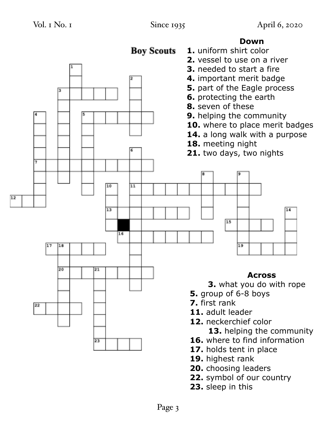14



- 17. holds tent in place
- **19.** highest rank
- **20.** choosing leaders
- **22.** symbol of our country
- **23.** sleep in this

### **Down**

**1.** uniform shirt color

**Boy Scouts**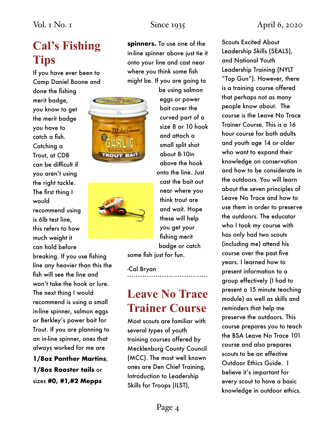# **Cal's Fishing Tips**

If you have ever been to Camp Daniel Boone and

done the fishing merit badge, you know to get the merit badge you have to catch a fish. Catching a Trout, at CDB can be difficult if you aren't using the right tackle. The first thing I would recommend using is 6lb test line, this refers to how much weight it can hold before

breaking. If you use fishing line any heavier than this the fish will see the line and won't take the hook or lure. The next thing I would recommend is using a small in-line spinner, salmon eggs or Berkley's power bait for Trout. If you are planning to an in-line spinner, ones that always worked for me are

**1/8oz Panther Martins**, **1/8oz Rooster tails** or sizes **#0, #1,#2 Mepps** 

**spinners.** To use one of the in-line spinner above just tie it onto your line and cast near where you think some fish might be. If you are going to





be using salmon eggs or power bait cover the curved part of a size 8 or 10 hook and attach a small split shot about 8-10in above the hook onto the line. Just cast the bait out near where you think trout are and wait. Hope these will help you get your fishing merit badge or catch

some fish just for fun.

-Cal Bryan

# **Leave No Trace Trainer Course**

Most scouts are familiar with several types of youth training courses offered by Mecklenburg County Council (MCC). The most well known ones are Den Chief Training, Introduction to Leadership Skills for Troops (ILST),

Scouts Excited About Leadership Skills (SEALS), and National Youth Leadership Training (NYLT "Top Gun"). However, there is a training course offered that perhaps not as many people know about. The course is the Leave No Trace Trainer Course. This is a 16 hour course for both adults and youth age 14 or older who want to expand their knowledge on conservation and how to be considerate in the outdoors. You will learn about the seven principles of Leave No Trace and how to use them in order to preserve the outdoors. The educator who I took my course with has only had two scouts (including me) attend his course over the past five years. I learned how to present information to a group effectively (I had to present a 15 minute teaching module) as well as skills and reminders that help me preserve the outdoors. This course prepares you to teach the BSA Leave No Trace 101 course and also prepares scouts to be an effective Outdoor Ethics Guide. I believe it's important for every scout to have a basic knowledge in outdoor ethics.